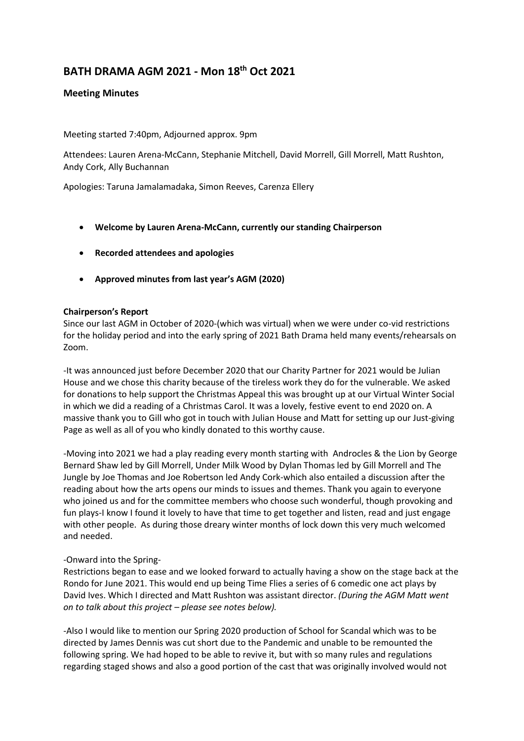# **BATH DRAMA AGM 2021 - Mon 18th Oct 2021**

## **Meeting Minutes**

Meeting started 7:40pm, Adjourned approx. 9pm

Attendees: Lauren Arena-McCann, Stephanie Mitchell, David Morrell, Gill Morrell, Matt Rushton, Andy Cork, Ally Buchannan

Apologies: Taruna Jamalamadaka, Simon Reeves, Carenza Ellery

- **Welcome by Lauren Arena-McCann, currently our standing Chairperson**
- **Recorded attendees and apologies**
- **Approved minutes from last year's AGM (2020)**

#### **Chairperson's Report**

Since our last AGM in October of 2020-(which was virtual) when we were under co-vid restrictions for the holiday period and into the early spring of 2021 Bath Drama held many events/rehearsals on Zoom.

-It was announced just before December 2020 that our Charity Partner for 2021 would be Julian House and we chose this charity because of the tireless work they do for the vulnerable. We asked for donations to help support the Christmas Appeal this was brought up at our Virtual Winter Social in which we did a reading of a Christmas Carol. It was a lovely, festive event to end 2020 on. A massive thank you to Gill who got in touch with Julian House and Matt for setting up our Just-giving Page as well as all of you who kindly donated to this worthy cause.

-Moving into 2021 we had a play reading every month starting with Androcles & the Lion by George Bernard Shaw led by Gill Morrell, Under Milk Wood by Dylan Thomas led by Gill Morrell and The Jungle by Joe Thomas and Joe Robertson led Andy Cork-which also entailed a discussion after the reading about how the arts opens our minds to issues and themes. Thank you again to everyone who joined us and for the committee members who choose such wonderful, though provoking and fun plays-I know I found it lovely to have that time to get together and listen, read and just engage with other people. As during those dreary winter months of lock down this very much welcomed and needed.

#### -Onward into the Spring-

Restrictions began to ease and we looked forward to actually having a show on the stage back at the Rondo for June 2021. This would end up being Time Flies a series of 6 comedic one act plays by David Ives. Which I directed and Matt Rushton was assistant director. *(During the AGM Matt went on to talk about this project – please see notes below).*

-Also I would like to mention our Spring 2020 production of School for Scandal which was to be directed by James Dennis was cut short due to the Pandemic and unable to be remounted the following spring. We had hoped to be able to revive it, but with so many rules and regulations regarding staged shows and also a good portion of the cast that was originally involved would not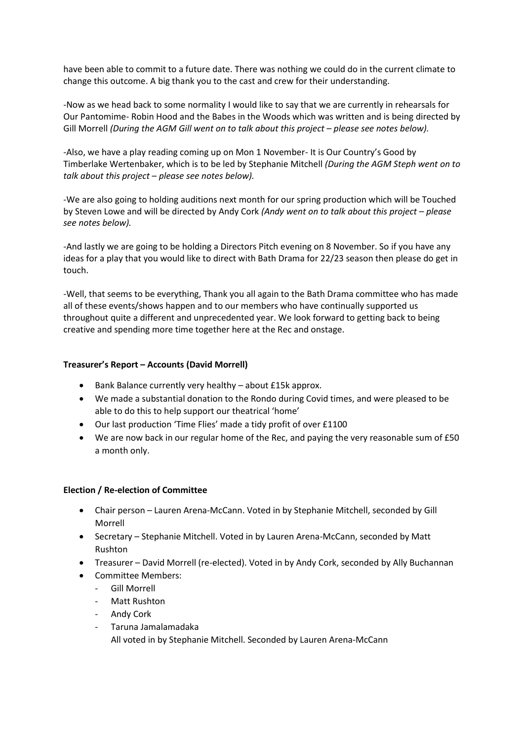have been able to commit to a future date. There was nothing we could do in the current climate to change this outcome. A big thank you to the cast and crew for their understanding.

-Now as we head back to some normality I would like to say that we are currently in rehearsals for Our Pantomime- Robin Hood and the Babes in the Woods which was written and is being directed by Gill Morrell *(During the AGM Gill went on to talk about this project – please see notes below).* 

-Also, we have a play reading coming up on Mon 1 November- It is Our Country's Good by Timberlake Wertenbaker, which is to be led by Stephanie Mitchell *(During the AGM Steph went on to talk about this project – please see notes below).*

-We are also going to holding auditions next month for our spring production which will be Touched by Steven Lowe and will be directed by Andy Cork *(Andy went on to talk about this project – please see notes below).*

-And lastly we are going to be holding a Directors Pitch evening on 8 November. So if you have any ideas for a play that you would like to direct with Bath Drama for 22/23 season then please do get in touch.

-Well, that seems to be everything, Thank you all again to the Bath Drama committee who has made all of these events/shows happen and to our members who have continually supported us throughout quite a different and unprecedented year. We look forward to getting back to being creative and spending more time together here at the Rec and onstage.

#### **Treasurer's Report – Accounts (David Morrell)**

- Bank Balance currently very healthy about £15k approx.
- We made a substantial donation to the Rondo during Covid times, and were pleased to be able to do this to help support our theatrical 'home'
- Our last production 'Time Flies' made a tidy profit of over £1100
- We are now back in our regular home of the Rec, and paying the very reasonable sum of £50 a month only.

#### **Election / Re-election of Committee**

- Chair person Lauren Arena-McCann. Voted in by Stephanie Mitchell, seconded by Gill Morrell
- Secretary Stephanie Mitchell. Voted in by Lauren Arena-McCann, seconded by Matt Rushton
- Treasurer David Morrell (re-elected). Voted in by Andy Cork, seconded by Ally Buchannan
- Committee Members:
	- Gill Morrell
	- Matt Rushton
	- Andy Cork
	- Taruna Jamalamadaka All voted in by Stephanie Mitchell. Seconded by Lauren Arena-McCann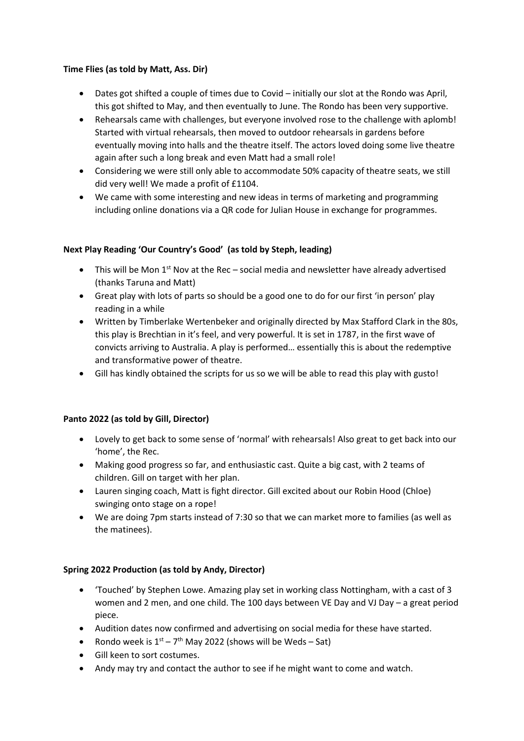## **Time Flies (as told by Matt, Ass. Dir)**

- Dates got shifted a couple of times due to Covid initially our slot at the Rondo was April, this got shifted to May, and then eventually to June. The Rondo has been very supportive.
- Rehearsals came with challenges, but everyone involved rose to the challenge with aplomb! Started with virtual rehearsals, then moved to outdoor rehearsals in gardens before eventually moving into halls and the theatre itself. The actors loved doing some live theatre again after such a long break and even Matt had a small role!
- Considering we were still only able to accommodate 50% capacity of theatre seats, we still did very well! We made a profit of £1104.
- We came with some interesting and new ideas in terms of marketing and programming including online donations via a QR code for Julian House in exchange for programmes.

# **Next Play Reading 'Our Country's Good' (as told by Steph, leading)**

- This will be Mon  $1^{st}$  Nov at the Rec social media and newsletter have already advertised (thanks Taruna and Matt)
- Great play with lots of parts so should be a good one to do for our first 'in person' play reading in a while
- Written by Timberlake Wertenbeker and originally directed by Max Stafford Clark in the 80s, this play is Brechtian in it's feel, and very powerful. It is set in 1787, in the first wave of convicts arriving to Australia. A play is performed… essentially this is about the redemptive and transformative power of theatre.
- Gill has kindly obtained the scripts for us so we will be able to read this play with gusto!

# **Panto 2022 (as told by Gill, Director)**

- Lovely to get back to some sense of 'normal' with rehearsals! Also great to get back into our 'home', the Rec.
- Making good progress so far, and enthusiastic cast. Quite a big cast, with 2 teams of children. Gill on target with her plan.
- Lauren singing coach, Matt is fight director. Gill excited about our Robin Hood (Chloe) swinging onto stage on a rope!
- We are doing 7pm starts instead of 7:30 so that we can market more to families (as well as the matinees).

# **Spring 2022 Production (as told by Andy, Director)**

- 'Touched' by Stephen Lowe. Amazing play set in working class Nottingham, with a cast of 3 women and 2 men, and one child. The 100 days between VE Day and VJ Day – a great period piece.
- Audition dates now confirmed and advertising on social media for these have started.
- Rondo week is  $1^{st} 7^{th}$  May 2022 (shows will be Weds Sat)
- Gill keen to sort costumes.
- Andy may try and contact the author to see if he might want to come and watch.